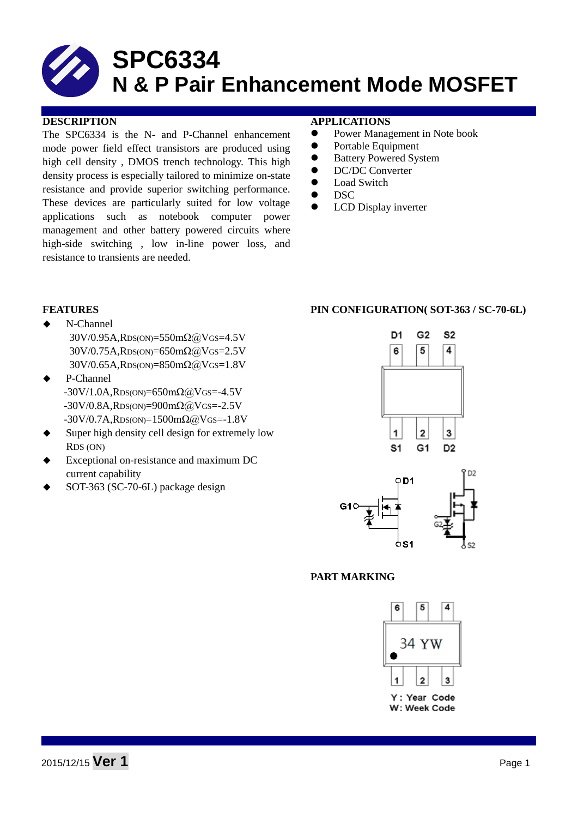The SPC6334 is the N- and P-Channel enhancement mode power field effect transistors are produced using high cell density , DMOS trench technology. This high density process is especially tailored to minimize on-state resistance and provide superior switching performance. These devices are particularly suited for low voltage applications such as notebook computer power management and other battery powered circuits where high-side switching , low in-line power loss, and resistance to transients are needed.

#### **DESCRIPTION APPLICATIONS**

- Power Management in Note book
- Portable Equipment
- Battery Powered System
- **•** DC/DC Converter
- Load Switch
- DSC
- LCD Display inverter

- N-Channel 30V/0.95A,RDS(ON)=550mΩ@VGS=4.5V 30V/0.75A,RDS(ON)=650mΩ@VGS=2.5V 30V/0.65A,RDS(ON)=850mΩ@VGS=1.8V
- P-Channel  $-30V/1.0A$ , $RDS(ON)=650m\Omega$ @VGS=-4.5V  $-30V/0.8A$ , $RDS(ON)=900m\Omega$ @VGS=-2.5V  $-30V/0.7A$ , RDS(ON)=1500mΩ@VGS=-1.8V
- Super high density cell design for extremely low RDS (ON)
- Exceptional on-resistance and maximum DC current capability
- SOT-363 (SC-70-6L) package design

### **FEATURES PIN CONFIGURATION( SOT-363 / SC-70-6L)**





### **PART MARKING**

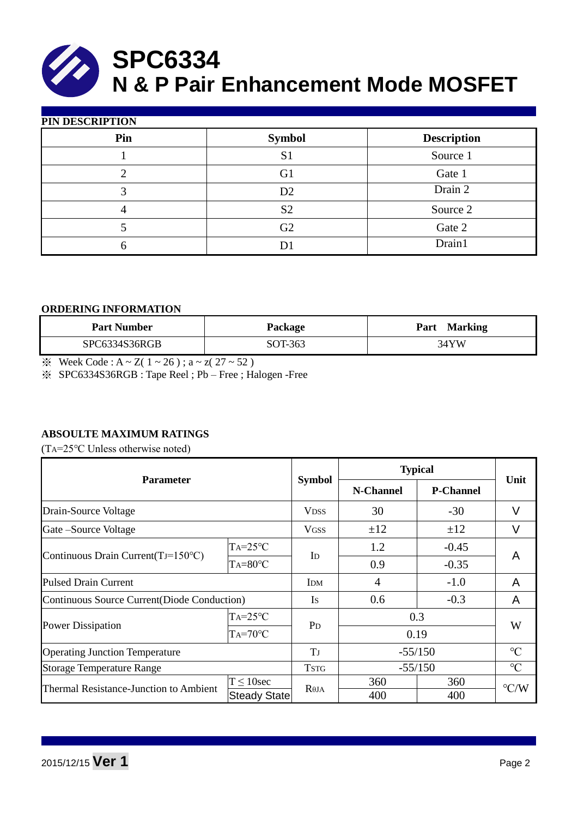

| PIN DESCRIPTION |                |                    |  |  |  |  |
|-----------------|----------------|--------------------|--|--|--|--|
| Pin             | <b>Symbol</b>  | <b>Description</b> |  |  |  |  |
|                 | S <sub>1</sub> | Source 1           |  |  |  |  |
|                 | G1             | Gate 1             |  |  |  |  |
| 3               | D2             | Drain 2            |  |  |  |  |
|                 | S <sub>2</sub> | Source 2           |  |  |  |  |
|                 | G2             | Gate 2             |  |  |  |  |
| h               | D              | Drain1             |  |  |  |  |

#### **ORDERING INFORMATION**

| <b>Part Number</b> | <b>Package</b> | <b>Marking</b><br>Part |
|--------------------|----------------|------------------------|
| SPC6334S36RGB      | SOT-363        | 34YW                   |

 $\frac{1}{2}$  Week Code : A ~ Z( 1 ~ 26); a ~ z( 27 ~ 52)

※ SPC6334S36RGB : Tape Reel ; Pb – Free ; Halogen -Free

### **ABSOULTE MAXIMUM RATINGS**

(TA=25℃ Unless otherwise noted)

| <b>Parameter</b>                             |                     | <b>Symbol</b>    | <b>Typical</b> |                  |                    |  |
|----------------------------------------------|---------------------|------------------|----------------|------------------|--------------------|--|
|                                              |                     |                  | N-Channel      | <b>P-Channel</b> | Unit               |  |
| Drain-Source Voltage                         |                     | <b>VDSS</b>      | 30             | $-30$            | V                  |  |
| Gate – Source Voltage                        |                     | <b>VGSS</b>      | $\pm 12$       | ±12              | V                  |  |
| Continuous Drain Current $(TJ=150^{\circ}C)$ | $TA = 25$ °C        |                  | 1.2            | $-0.45$          |                    |  |
|                                              | $Ta=80^{\circ}C$    | I <sub>D</sub>   | 0.9            | $-0.35$          | A                  |  |
| <b>Pulsed Drain Current</b>                  | <b>IDM</b>          | 4                | $-1.0$         | A                |                    |  |
| Continuous Source Current(Diode Conduction)  |                     | <b>Is</b>        | 0.6            | $-0.3$           | A                  |  |
|                                              | $TA = 25$ °C        |                  | 0.3            |                  |                    |  |
| <b>Power Dissipation</b>                     | $Ta=70^{\circ}C$    | $P_{D}$          |                | 0.19             | W                  |  |
| <b>Operating Junction Temperature</b>        |                     | TJ               | $-55/150$      |                  | $\rm ^{\circ}C$    |  |
| <b>Storage Temperature Range</b>             |                     | <b>TSTG</b>      | $-55/150$      |                  | $\rm ^{\circ}C$    |  |
| Thermal Resistance-Junction to Ambient       | $T \leq 10$ sec     | R <sub>0JA</sub> | 360            | 360              | $\rm ^{\circ}$ C/W |  |
|                                              | <b>Steady State</b> |                  | 400            | 400              |                    |  |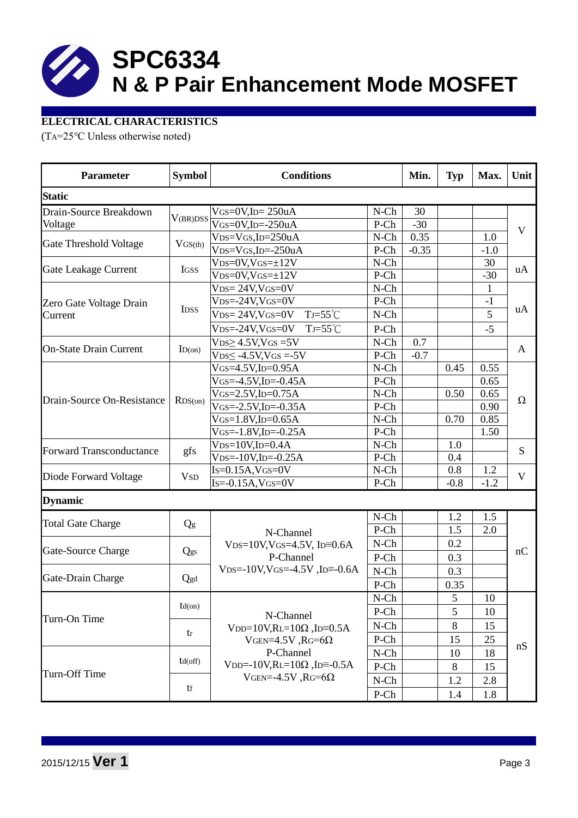# **ELECTRICAL CHARACTERISTICS**

(TA=25℃ Unless otherwise noted)

| <b>Parameter</b>                | <b>Symbol</b>          | <b>Conditions</b>                                                                                |                        |         | <b>Typ</b>     | Max.           | Unit         |  |
|---------------------------------|------------------------|--------------------------------------------------------------------------------------------------|------------------------|---------|----------------|----------------|--------------|--|
| <b>Static</b>                   |                        |                                                                                                  |                        |         |                |                |              |  |
| Drain-Source Breakdown          |                        | $V$ GS=0V,ID= $250$ uA                                                                           | $N-Ch$                 | 30      |                |                | $\mathbf{V}$ |  |
| Voltage                         | V(BR)DSS               | $\overline{V_{GS}=0}V$ , ID=-250uA                                                               | P-Ch                   | $-30$   |                |                |              |  |
| Gate Threshold Voltage          | $V$ GS(th)             | $VDS=VGS$ , ID=250uA                                                                             | $N-Ch$                 | 0.35    |                | 1.0            |              |  |
|                                 |                        | $VDS=VGS$ , ID=-250uA                                                                            | P-Ch                   | $-0.35$ |                | $-1.0$         |              |  |
|                                 |                        | $VDS=0V$ , $VGS=\pm 12V$                                                                         | $N-Ch$                 |         |                | 30             | uA           |  |
| Gate Leakage Current            | <b>IGSS</b>            | $VDS=0V$ , $VGS=\pm 12V$                                                                         | P-Ch                   |         |                | $-30$          |              |  |
|                                 |                        | $VDS = 24V$ , $VGS = 0V$                                                                         | $N-Ch$                 |         |                | $\mathbf{1}$   | uA           |  |
| Zero Gate Voltage Drain         |                        | $V_{DS=-}$ 24V, $V_{GS=}$ OV                                                                     | P-Ch                   |         |                | $-1$           |              |  |
| Current                         | IDSS                   | $TJ = 55^{\circ}C$<br>$V_{DS} = 24V$ , $V_{GS} = 0V$                                             | $N$ -Ch                |         |                | $\overline{5}$ |              |  |
|                                 |                        | $V_{DS} = -24V$ , $V_{GS} = 0V$<br>$TJ=55^{\circ}C$                                              | P-Ch                   |         |                | $-5$           |              |  |
|                                 |                        | $VDS2 4.5V1VGS = 5V$                                                                             | $N$ -Ch                | 0.7     |                |                | A            |  |
| <b>On-State Drain Current</b>   | ID(on)                 | $VDS \le -4.5V$ , $VGS = -5V$                                                                    | P-Ch                   | $-0.7$  |                |                |              |  |
|                                 |                        | $V$ GS=4.5V,ID=0.95A                                                                             | $N$ -Ch                |         | 0.45           | 0.55           |              |  |
|                                 |                        | $V$ GS=-4.5V,ID=-0.45A                                                                           | P-Ch                   |         |                | 0.65           | $\Omega$     |  |
|                                 |                        | $V$ GS=2.5V,ID=0.75A                                                                             | $N$ -Ch                |         | 0.50           | 0.65           |              |  |
| Drain-Source On-Resistance      | $RDS$ (on)             | $V$ GS=-2.5V,ID=-0.35A                                                                           | P-Ch                   |         |                | 0.90           |              |  |
|                                 |                        | $V$ GS=1.8V,ID=0.65A                                                                             | $N$ -Ch                |         | 0.70           | 0.85           |              |  |
|                                 |                        | $V$ GS=-1.8V,ID=-0.25A                                                                           | P-Ch                   |         |                | 1.50           |              |  |
|                                 | gfs                    | $VDS=10V$ , ID=0.4A                                                                              | $N$ -Ch                |         | 1.0            |                | S            |  |
| <b>Forward Transconductance</b> |                        | $V$ DS=-10V, ID=-0.25A                                                                           | P-Ch                   |         | 0.4            |                |              |  |
|                                 |                        | $Is=0.15A$ , $VGS=0V$                                                                            | $N$ -Ch                |         | 0.8            | 1.2            | V            |  |
| Diode Forward Voltage           | <b>V</b> <sub>SD</sub> | $Is=0.15A$ , $VGS=0V$<br>P-Ch                                                                    |                        |         | $-0.8$         | $-1.2$         |              |  |
| <b>Dynamic</b>                  |                        |                                                                                                  |                        |         |                |                |              |  |
| <b>Total Gate Charge</b>        | Qg                     |                                                                                                  | $N$ -Ch                |         | 1.2            | 1.5            |              |  |
|                                 |                        | N-Channel                                                                                        | P-Ch                   |         | 1.5            | 2.0            |              |  |
|                                 | Qgs                    | $VDS=10V$ , $VGS=4.5V$ , $ID=0.6A$                                                               | $N-Ch$                 |         | 0.2            |                |              |  |
| Gate-Source Charge              |                        | P-Channel                                                                                        | P-Ch                   |         | 0.3            |                | nC           |  |
| Gate-Drain Charge               | Qgd                    | $VDS = -10V$ , $VGS = -4.5V$ , $ID = -0.6A$                                                      | $N$ -Ch                |         | 0.3            |                |              |  |
|                                 |                        |                                                                                                  | P-Ch                   |         | 0.35           |                |              |  |
| Turn-On Time                    | $td($ on $)$           |                                                                                                  | $N\text{-}\mathrm{Ch}$ |         | $\mathfrak{S}$ | $10\,$         |              |  |
|                                 |                        | N-Channel                                                                                        | P-Ch                   |         | 5              | 10             |              |  |
|                                 | tr                     | $VDD=10V, RL=10\Omega, ID=0.5A$                                                                  | $N-Ch$                 |         | 8              | 15             |              |  |
|                                 |                        | VGEN=4.5V, RG=6 $\Omega$                                                                         | P-Ch                   |         | 15             | 25             | nS           |  |
|                                 | $td($ off $)$          | P-Channel                                                                                        | $N$ -Ch                |         | 10             | 18             |              |  |
|                                 |                        | V <sub>DD</sub> =-10V,RL=10 $\Omega$ ,J <sub>D</sub> =-0.5A<br>P-Ch<br>VGEN=-4.5V, RG=6 $\Omega$ |                        |         | 8              | 15             |              |  |
| Turn-Off Time                   |                        |                                                                                                  |                        |         | 1.2            | 2.8            |              |  |
|                                 | tf                     |                                                                                                  | $N-Ch$<br>P-Ch         |         |                |                |              |  |
|                                 |                        |                                                                                                  |                        |         | 1.4            | 1.8            |              |  |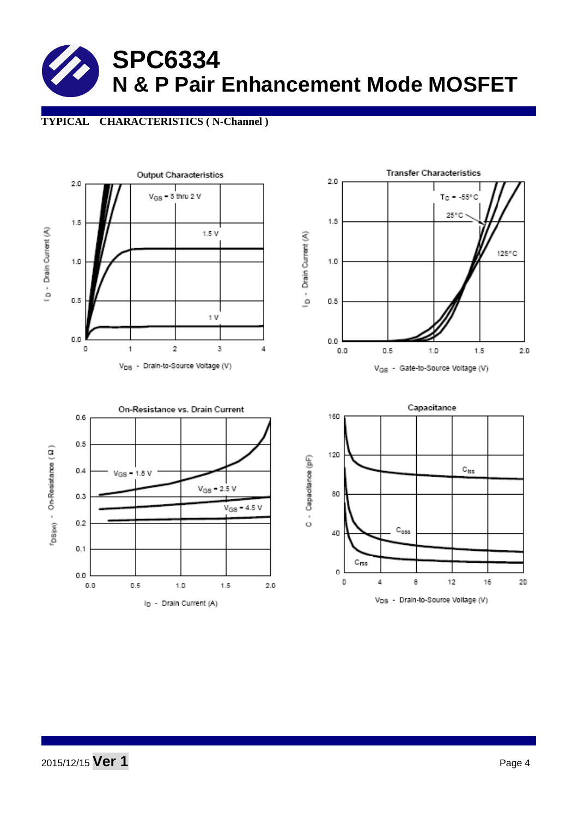## **TYPICAL CHARACTERISTICS ( N-Channel )**

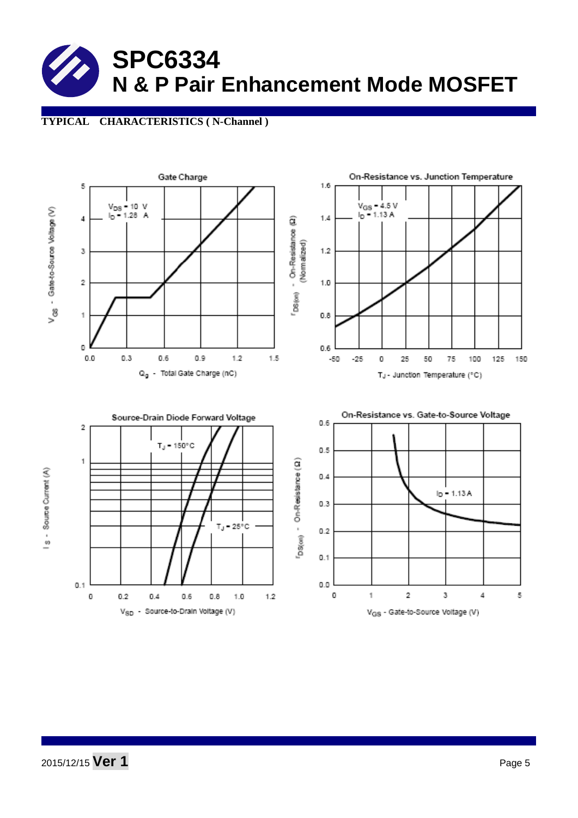## **TYPICAL CHARACTERISTICS ( N-Channel )**

![](_page_4_Figure_2.jpeg)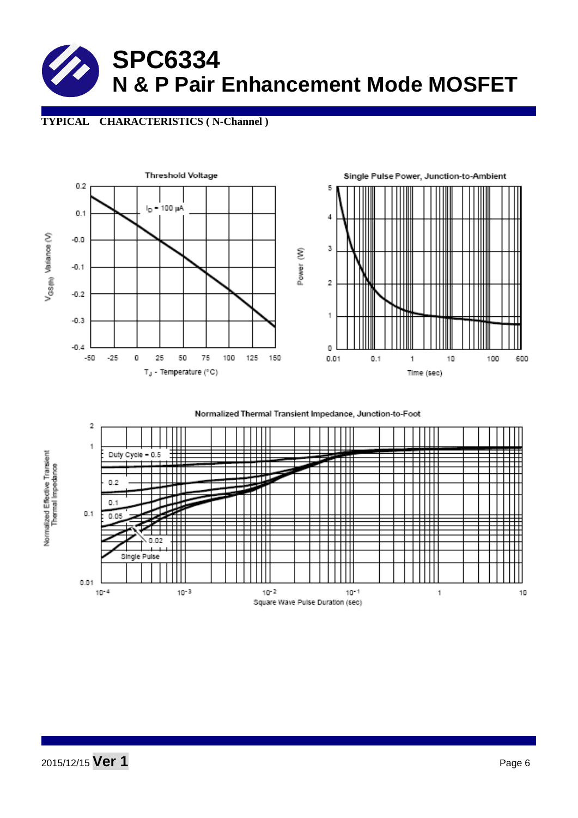# **TYPICAL CHARACTERISTICS ( N-Channel )**

![](_page_5_Figure_2.jpeg)

Normalized Thermal Transient Impedance, Junction-to-Foot

![](_page_5_Figure_4.jpeg)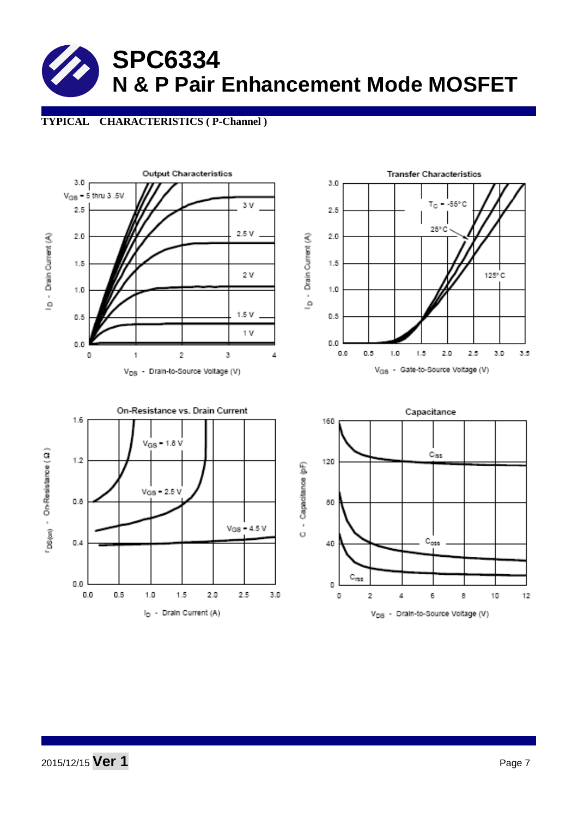## **TYPICAL CHARACTERISTICS ( P-Channel )**

![](_page_6_Figure_2.jpeg)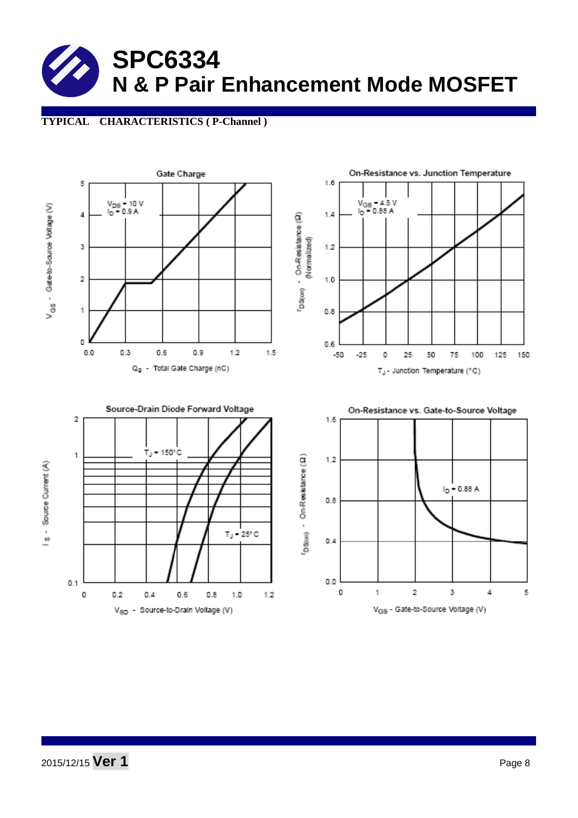# **TYPICAL CHARACTERISTICS ( P-Channel )**

![](_page_7_Figure_2.jpeg)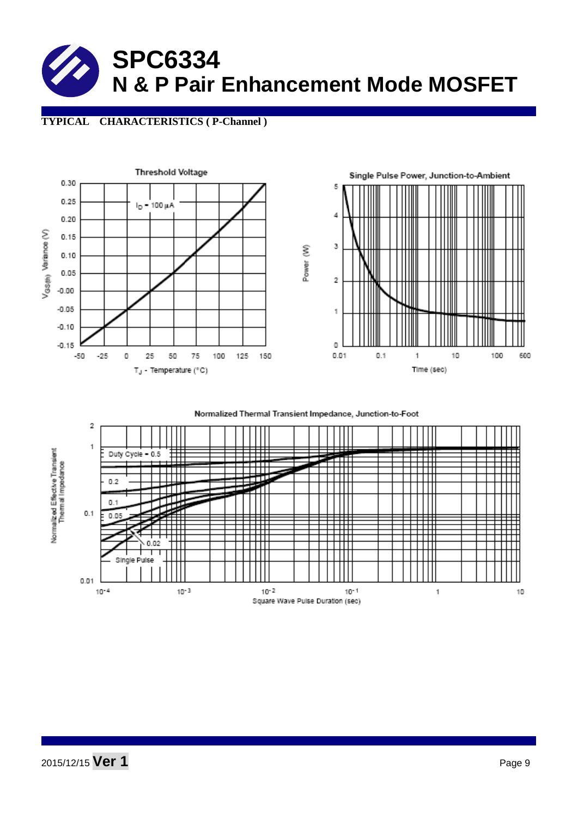![](_page_8_Picture_0.jpeg)

### **TYPICAL CHARACTERISTICS ( P-Channel )**

![](_page_8_Figure_2.jpeg)

Normalized Thermal Transient Impedance, Junction-to-Foot

![](_page_8_Figure_4.jpeg)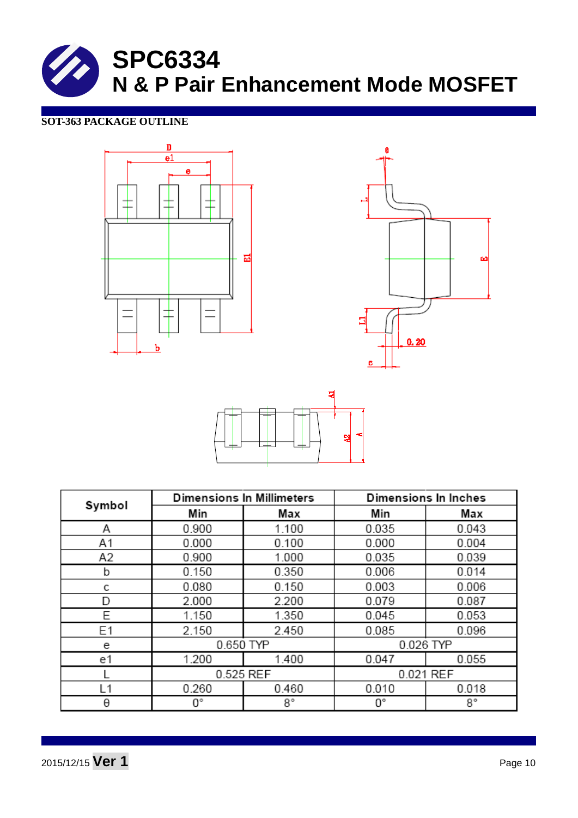![](_page_9_Picture_0.jpeg)

# **SOT-363 PACKAGE OUTLINE**

![](_page_9_Figure_2.jpeg)

![](_page_9_Figure_3.jpeg)

![](_page_9_Figure_4.jpeg)

|        |           | <b>Dimensions In Millimeters</b> | Dimensions In Inches |           |  |
|--------|-----------|----------------------------------|----------------------|-----------|--|
| Symbol | Min       | Max                              | Min                  | Max       |  |
| Α      | 0.900     | 1.100                            | 0.035                | 0.043     |  |
| A1     | 0.000     | 0.100                            | 0.000                | 0.004     |  |
| A2     | 0.900     | 1.000                            | 0.035                | 0.039     |  |
| b      | 0.150     | 0.350                            | 0.006                | 0.014     |  |
| с      | 0.080     | 0.150                            | 0.003                | 0.006     |  |
| D      | 2.000     | 2.200                            | 0.079                | 0.087     |  |
| E      | 1.150     | 1.350                            | 0.045                | 0.053     |  |
| E1     | 2.150     | 2.450                            | 0.085                | 0.096     |  |
| е      | 0.650 TYP |                                  |                      | 0.026 TYP |  |
| e1     | 1.200     | 1.400                            | 0.047                | 0.055     |  |
|        | 0.525 REF |                                  | 0.021 REF            |           |  |
| L1     | 0.260     | 0.460                            | 0.010                | 0.018     |  |
| θ      | О°        | 8°                               | О°                   | 8°        |  |